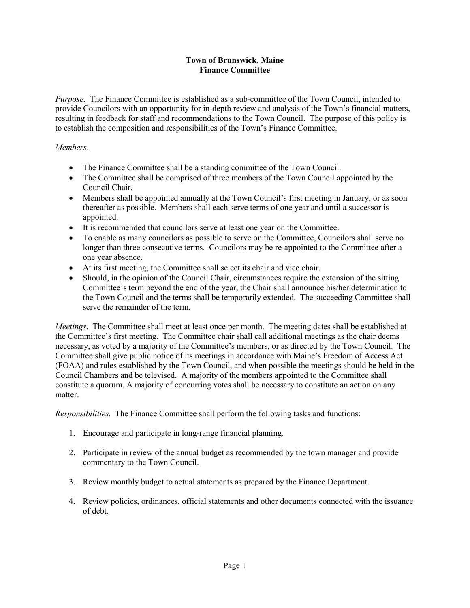## **Town of Brunswick, Maine Finance Committee**

*Purpose*. The Finance Committee is established as a sub-committee of the Town Council, intended to provide Councilors with an opportunity for in-depth review and analysis of the Town's financial matters, resulting in feedback for staff and recommendations to the Town Council. The purpose of this policy is to establish the composition and responsibilities of the Town's Finance Committee.

## *Members*.

- The Finance Committee shall be a standing committee of the Town Council.
- The Committee shall be comprised of three members of the Town Council appointed by the Council Chair.
- Members shall be appointed annually at the Town Council's first meeting in January, or as soon thereafter as possible. Members shall each serve terms of one year and until a successor is appointed.
- It is recommended that councilors serve at least one year on the Committee.
- To enable as many councilors as possible to serve on the Committee, Councilors shall serve no longer than three consecutive terms. Councilors may be re-appointed to the Committee after a one year absence.
- At its first meeting, the Committee shall select its chair and vice chair.
- Should, in the opinion of the Council Chair, circumstances require the extension of the sitting Committee's term beyond the end of the year, the Chair shall announce his/her determination to the Town Council and the terms shall be temporarily extended. The succeeding Committee shall serve the remainder of the term.

*Meetings*. The Committee shall meet at least once per month. The meeting dates shall be established at the Committee's first meeting. The Committee chair shall call additional meetings as the chair deems necessary, as voted by a majority of the Committee's members, or as directed by the Town Council. The Committee shall give public notice of its meetings in accordance with Maine's Freedom of Access Act (FOAA) and rules established by the Town Council, and when possible the meetings should be held in the Council Chambers and be televised. A majority of the members appointed to the Committee shall constitute a quorum. A majority of concurring votes shall be necessary to constitute an action on any matter.

*Responsibilities*. The Finance Committee shall perform the following tasks and functions:

- 1. Encourage and participate in long-range financial planning.
- 2. Participate in review of the annual budget as recommended by the town manager and provide commentary to the Town Council.
- 3. Review monthly budget to actual statements as prepared by the Finance Department.
- 4. Review policies, ordinances, official statements and other documents connected with the issuance of debt.